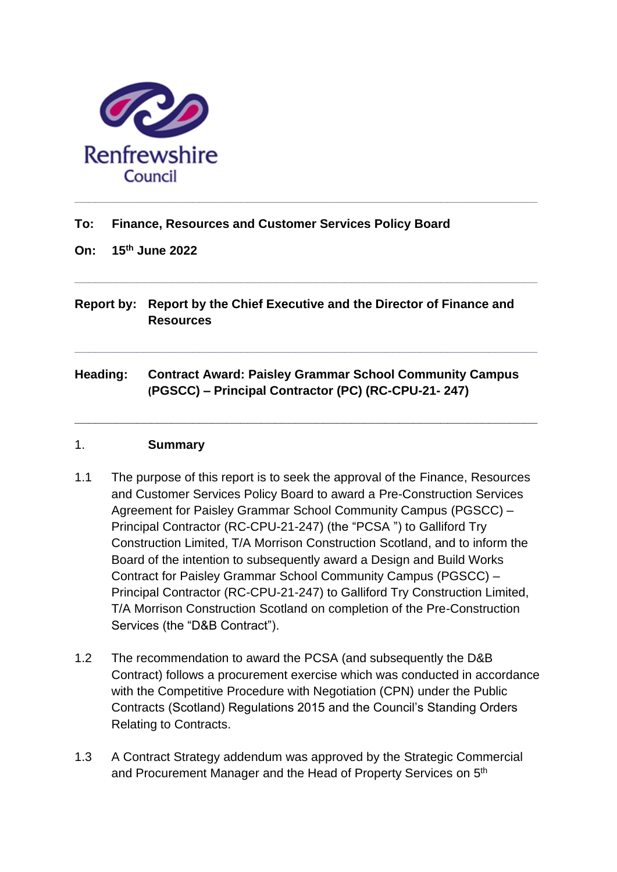

### **To: Finance, Resources and Customer Services Policy Board**

**On: 15th June 2022**

**Report by: Report by the Chief Executive and the Director of Finance and Resources**

**\_\_\_\_\_\_\_\_\_\_\_\_\_\_\_\_\_\_\_\_\_\_\_\_\_\_\_\_\_\_\_\_\_\_\_\_\_\_\_\_\_\_\_\_\_\_\_\_\_\_\_\_\_\_\_\_\_\_\_\_\_\_\_\_\_\_\_**

**\_\_\_\_\_\_\_\_\_\_\_\_\_\_\_\_\_\_\_\_\_\_\_\_\_\_\_\_\_\_\_\_\_\_\_\_\_\_\_\_\_\_\_\_\_\_\_\_\_\_\_\_\_\_\_\_\_\_\_\_\_\_\_\_\_\_\_**

**\_\_\_\_\_\_\_\_\_\_\_\_\_\_\_\_\_\_\_\_\_\_\_\_\_\_\_\_\_\_\_\_\_\_\_\_\_\_\_\_\_\_\_\_\_\_\_\_\_\_\_\_\_\_\_\_\_\_\_\_\_\_\_\_\_\_\_**

**Heading: Contract Award: Paisley Grammar School Community Campus (PGSCC) – Principal Contractor (PC) (RC-CPU-21- 247)**

#### 1. **Summary**

- 1.1 The purpose of this report is to seek the approval of the Finance, Resources and Customer Services Policy Board to award a Pre-Construction Services Agreement for Paisley Grammar School Community Campus (PGSCC) – Principal Contractor (RC-CPU-21-247) (the "PCSA ") to Galliford Try Construction Limited, T/A Morrison Construction Scotland, and to inform the Board of the intention to subsequently award a Design and Build Works Contract for Paisley Grammar School Community Campus (PGSCC) – Principal Contractor (RC-CPU-21-247) to Galliford Try Construction Limited, T/A Morrison Construction Scotland on completion of the Pre-Construction Services (the "D&B Contract").
- 1.2 The recommendation to award the PCSA (and subsequently the D&B Contract) follows a procurement exercise which was conducted in accordance with the Competitive Procedure with Negotiation (CPN) under the Public Contracts (Scotland) Regulations 2015 and the Council's Standing Orders Relating to Contracts.
- 1.3 A Contract Strategy addendum was approved by the Strategic Commercial and Procurement Manager and the Head of Property Services on 5<sup>th</sup>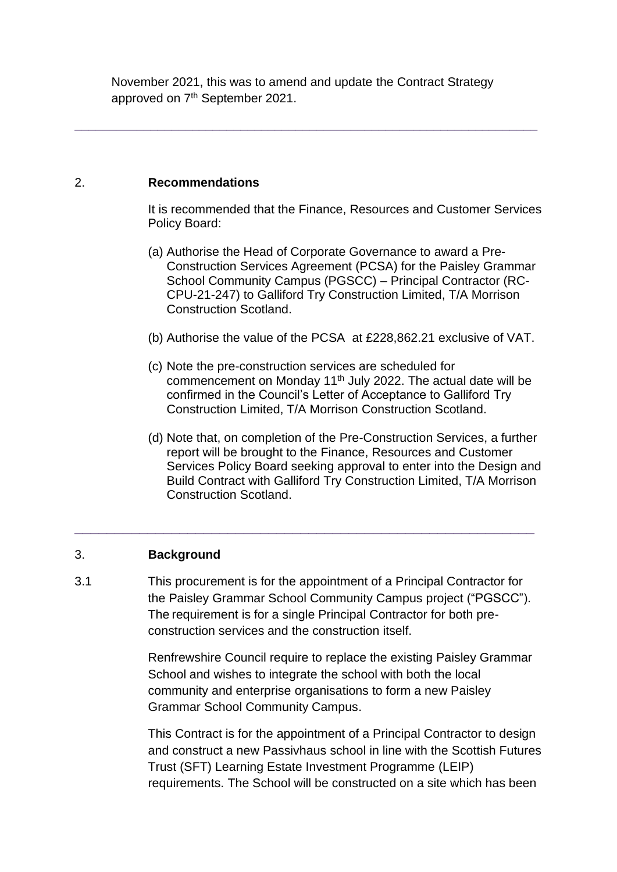November 2021, this was to amend and update the Contract Strategy approved on 7<sup>th</sup> September 2021.

**\_\_\_\_\_\_\_\_\_\_\_\_\_\_\_\_\_\_\_\_\_\_\_\_\_\_\_\_\_\_\_\_\_\_\_\_\_\_\_\_\_\_\_\_\_\_\_\_\_\_\_\_\_\_\_\_\_\_\_\_\_\_\_\_\_\_\_**

#### 2. **Recommendations**

It is recommended that the Finance, Resources and Customer Services Policy Board:

- (a) Authorise the Head of Corporate Governance to award a Pre-Construction Services Agreement (PCSA) for the Paisley Grammar School Community Campus (PGSCC) – Principal Contractor (RC-CPU-21-247) to Galliford Try Construction Limited, T/A Morrison Construction Scotland.
- (b) Authorise the value of the PCSA at £228,862.21 exclusive of VAT.
- (c) Note the pre-construction services are scheduled for commencement on Monday 11<sup>th</sup> July 2022. The actual date will be confirmed in the Council's Letter of Acceptance to Galliford Try Construction Limited, T/A Morrison Construction Scotland.
- (d) Note that, on completion of the Pre-Construction Services, a further report will be brought to the Finance, Resources and Customer Services Policy Board seeking approval to enter into the Design and Build Contract with Galliford Try Construction Limited, T/A Morrison Construction Scotland.

## 3. **Background**

3.1 This procurement is for the appointment of a Principal Contractor for the Paisley Grammar School Community Campus project ("PGSCC"). The requirement is for a single Principal Contractor for both preconstruction services and the construction itself.

\_\_\_\_\_\_\_\_\_\_\_\_\_\_\_\_\_\_\_\_\_\_\_\_\_\_\_\_\_\_\_\_\_\_\_\_\_\_\_\_\_\_\_\_\_\_\_\_\_\_\_\_\_\_\_\_\_

Renfrewshire Council require to replace the existing Paisley Grammar School and wishes to integrate the school with both the local community and enterprise organisations to form a new Paisley Grammar School Community Campus.

This Contract is for the appointment of a Principal Contractor to design and construct a new Passivhaus school in line with the Scottish Futures Trust (SFT) Learning Estate Investment Programme (LEIP) requirements. The School will be constructed on a site which has been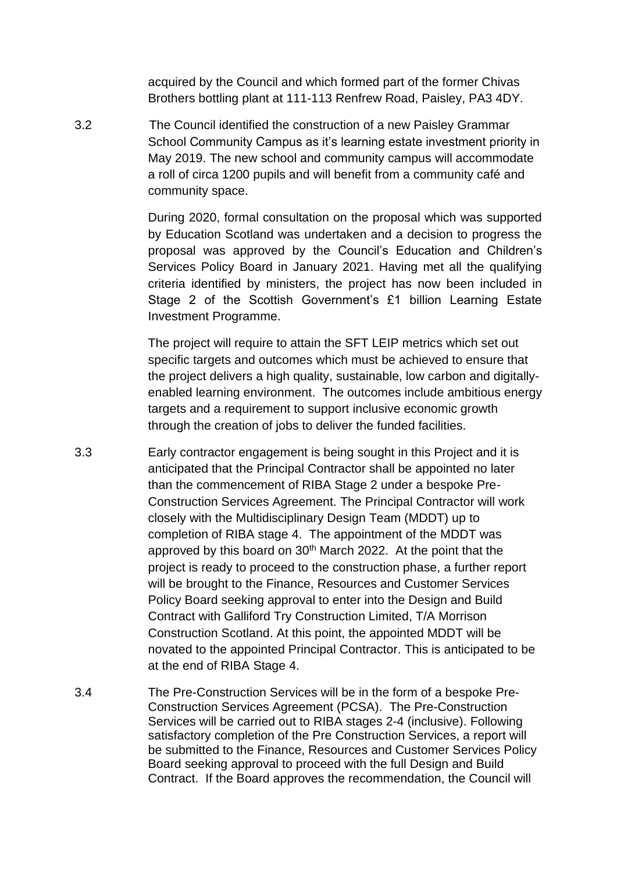acquired by the Council and which formed part of the former Chivas Brothers bottling plant at 111-113 Renfrew Road, Paisley, PA3 4DY.

3.2 The Council identified the construction of a new Paisley Grammar School Community Campus as it's learning estate investment priority in May 2019. The new school and community campus will accommodate a roll of circa 1200 pupils and will benefit from a community café and community space.

> During 2020, formal consultation on the proposal which was supported by Education Scotland was undertaken and a decision to progress the proposal was approved by the Council's Education and Children's Services Policy Board in January 2021. Having met all the qualifying criteria identified by ministers, the project has now been included in Stage 2 of the Scottish Government's £1 billion Learning Estate Investment Programme.

> The project will require to attain the SFT LEIP metrics which set out specific targets and outcomes which must be achieved to ensure that the project delivers a high quality, sustainable, low carbon and digitallyenabled learning environment. The outcomes include ambitious energy targets and a requirement to support inclusive economic growth through the creation of jobs to deliver the funded facilities.

- 3.3 Early contractor engagement is being sought in this Project and it is anticipated that the Principal Contractor shall be appointed no later than the commencement of RIBA Stage 2 under a bespoke Pre-Construction Services Agreement. The Principal Contractor will work closely with the Multidisciplinary Design Team (MDDT) up to completion of RIBA stage 4. The appointment of the MDDT was approved by this board on 30<sup>th</sup> March 2022. At the point that the project is ready to proceed to the construction phase, a further report will be brought to the Finance, Resources and Customer Services Policy Board seeking approval to enter into the Design and Build Contract with Galliford Try Construction Limited, T/A Morrison Construction Scotland. At this point, the appointed MDDT will be novated to the appointed Principal Contractor. This is anticipated to be at the end of RIBA Stage 4.
- 3.4 The Pre-Construction Services will be in the form of a bespoke Pre-Construction Services Agreement (PCSA). The Pre-Construction Services will be carried out to RIBA stages 2-4 (inclusive). Following satisfactory completion of the Pre Construction Services, a report will be submitted to the Finance, Resources and Customer Services Policy Board seeking approval to proceed with the full Design and Build Contract. If the Board approves the recommendation, the Council will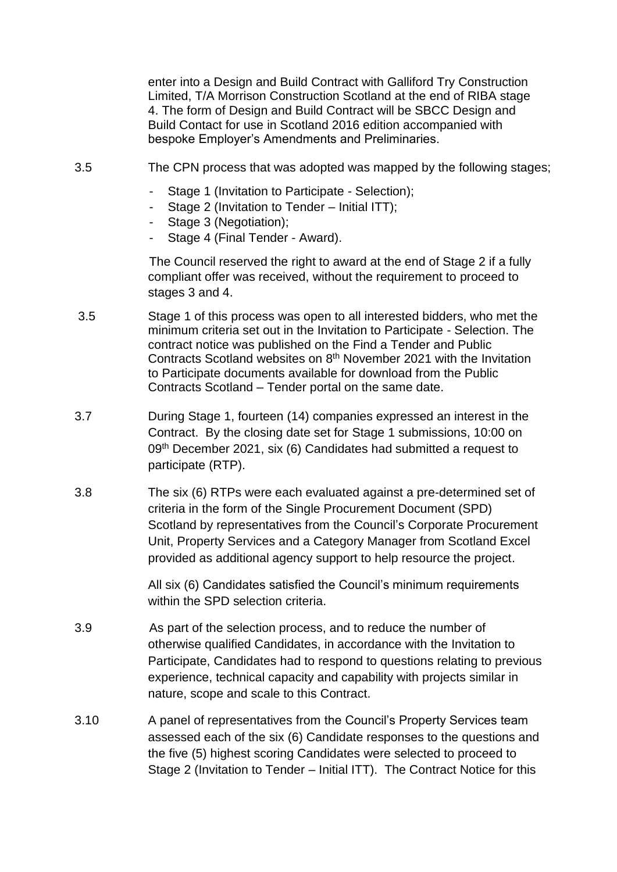enter into a Design and Build Contract with Galliford Try Construction Limited, T/A Morrison Construction Scotland at the end of RIBA stage 4. The form of Design and Build Contract will be SBCC Design and Build Contact for use in Scotland 2016 edition accompanied with bespoke Employer's Amendments and Preliminaries.

- 3.5 The CPN process that was adopted was mapped by the following stages;
	- Stage 1 (Invitation to Participate Selection);
	- Stage 2 (Invitation to Tender Initial ITT);
	- Stage 3 (Negotiation);
	- Stage 4 (Final Tender Award).

The Council reserved the right to award at the end of Stage 2 if a fully compliant offer was received, without the requirement to proceed to stages 3 and 4.

- 3.5 Stage 1 of this process was open to all interested bidders, who met the minimum criteria set out in the Invitation to Participate - Selection. The contract notice was published on the Find a Tender and Public Contracts Scotland websites on 8<sup>th</sup> November 2021 with the Invitation to Participate documents available for download from the Public Contracts Scotland – Tender portal on the same date.
- 3.7 During Stage 1, fourteen (14) companies expressed an interest in the Contract. By the closing date set for Stage 1 submissions, 10:00 on 09<sup>th</sup> December 2021, six (6) Candidates had submitted a request to participate (RTP).
- 3.8 The six (6) RTPs were each evaluated against a pre-determined set of criteria in the form of the Single Procurement Document (SPD) Scotland by representatives from the Council's Corporate Procurement Unit, Property Services and a Category Manager from Scotland Excel provided as additional agency support to help resource the project.

All six (6) Candidates satisfied the Council's minimum requirements within the SPD selection criteria.

- 3.9 As part of the selection process, and to reduce the number of otherwise qualified Candidates, in accordance with the Invitation to Participate, Candidates had to respond to questions relating to previous experience, technical capacity and capability with projects similar in nature, scope and scale to this Contract.
- 3.10 A panel of representatives from the Council's Property Services team assessed each of the six (6) Candidate responses to the questions and the five (5) highest scoring Candidates were selected to proceed to Stage 2 (Invitation to Tender – Initial ITT). The Contract Notice for this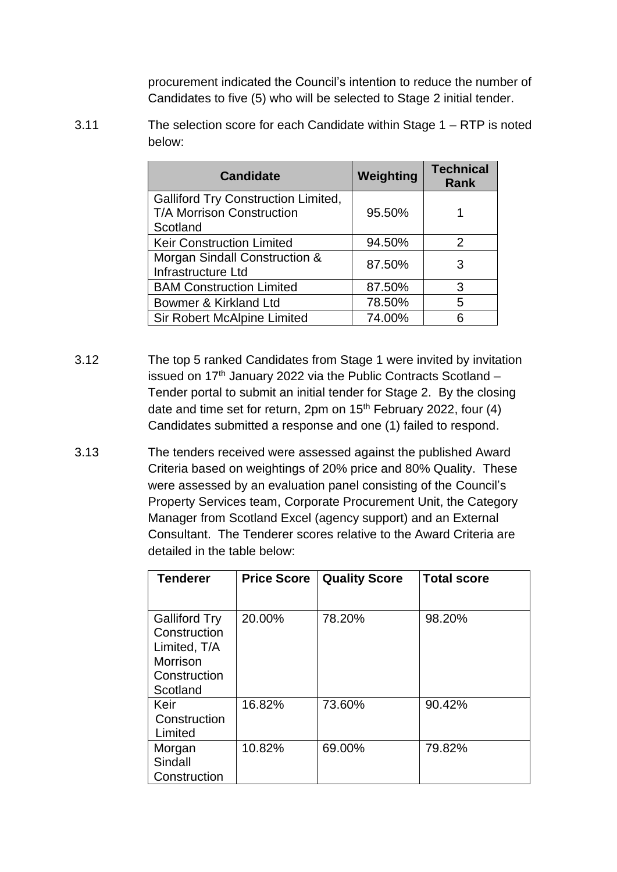procurement indicated the Council's intention to reduce the number of Candidates to five (5) who will be selected to Stage 2 initial tender.

3.11 The selection score for each Candidate within Stage 1 – RTP is noted below:

| <b>Candidate</b>                                                                    | Weighting | <b>Technical</b><br><b>Rank</b> |
|-------------------------------------------------------------------------------------|-----------|---------------------------------|
| <b>Galliford Try Construction Limited,</b><br>T/A Morrison Construction<br>Scotland | 95.50%    |                                 |
| <b>Keir Construction Limited</b>                                                    | 94.50%    | $\mathcal{P}$                   |
| Morgan Sindall Construction &<br>Infrastructure Ltd                                 | 87.50%    | 3                               |
| <b>BAM Construction Limited</b>                                                     | 87.50%    | 3                               |
| Bowmer & Kirkland Ltd                                                               | 78.50%    | 5                               |
| <b>Sir Robert McAlpine Limited</b>                                                  | 74.00%    |                                 |

- 3.12 The top 5 ranked Candidates from Stage 1 were invited by invitation issued on  $17<sup>th</sup>$  January 2022 via the Public Contracts Scotland – Tender portal to submit an initial tender for Stage 2. By the closing date and time set for return, 2pm on  $15<sup>th</sup>$  February 2022, four (4) Candidates submitted a response and one (1) failed to respond.
- 3.13 The tenders received were assessed against the published Award Criteria based on weightings of 20% price and 80% Quality. These were assessed by an evaluation panel consisting of the Council's Property Services team, Corporate Procurement Unit, the Category Manager from Scotland Excel (agency support) and an External Consultant. The Tenderer scores relative to the Award Criteria are detailed in the table below:

| <b>Tenderer</b>                                                                                     | <b>Price Score</b> | <b>Quality Score</b> | <b>Total score</b> |
|-----------------------------------------------------------------------------------------------------|--------------------|----------------------|--------------------|
|                                                                                                     |                    |                      |                    |
| <b>Galliford Try</b><br>Construction<br>Limited, T/A<br><b>Morrison</b><br>Construction<br>Scotland | 20.00%             | 78.20%               | 98.20%             |
| Keir<br>Construction<br>Limited                                                                     | 16.82%             | 73.60%               | 90.42%             |
| Morgan<br>Sindall<br>Construction                                                                   | 10.82%             | 69.00%               | 79.82%             |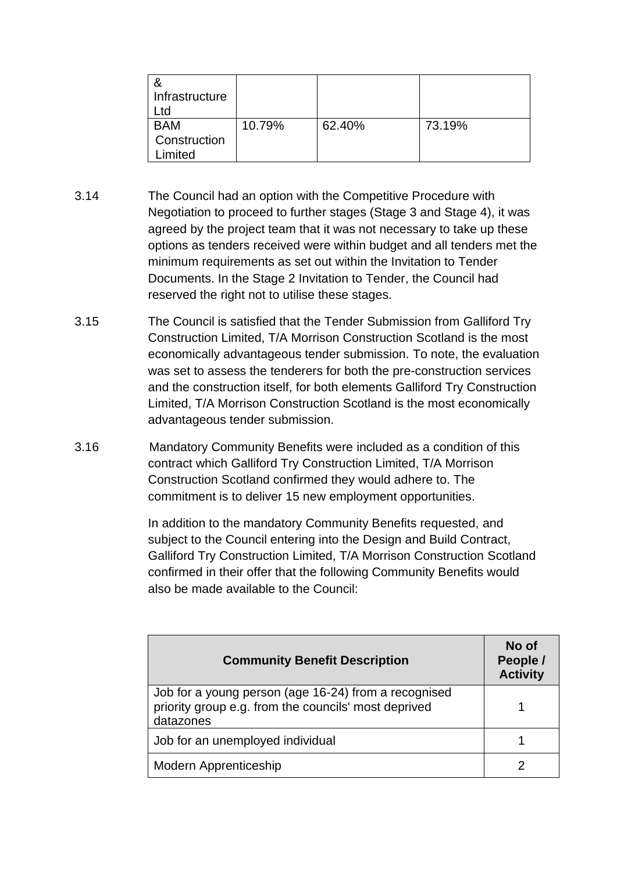| Infrastructure<br>td.                 |        |        |        |
|---------------------------------------|--------|--------|--------|
| <b>BAM</b><br>Construction<br>.imited | 10.79% | 62.40% | 73.19% |

- 3.14 The Council had an option with the Competitive Procedure with Negotiation to proceed to further stages (Stage 3 and Stage 4), it was agreed by the project team that it was not necessary to take up these options as tenders received were within budget and all tenders met the minimum requirements as set out within the Invitation to Tender Documents. In the Stage 2 Invitation to Tender, the Council had reserved the right not to utilise these stages.
- 3.15 The Council is satisfied that the Tender Submission from Galliford Try Construction Limited, T/A Morrison Construction Scotland is the most economically advantageous tender submission. To note, the evaluation was set to assess the tenderers for both the pre-construction services and the construction itself, for both elements Galliford Try Construction Limited, T/A Morrison Construction Scotland is the most economically advantageous tender submission.
- 3.16 Mandatory Community Benefits were included as a condition of this contract which Galliford Try Construction Limited, T/A Morrison Construction Scotland confirmed they would adhere to. The commitment is to deliver 15 new employment opportunities.

In addition to the mandatory Community Benefits requested, and subject to the Council entering into the Design and Build Contract, Galliford Try Construction Limited, T/A Morrison Construction Scotland confirmed in their offer that the following Community Benefits would also be made available to the Council:

| <b>Community Benefit Description</b>                                                                                      | No of<br>People /<br><b>Activity</b> |
|---------------------------------------------------------------------------------------------------------------------------|--------------------------------------|
| Job for a young person (age 16-24) from a recognised<br>priority group e.g. from the councils' most deprived<br>datazones |                                      |
| Job for an unemployed individual                                                                                          |                                      |
| Modern Apprenticeship                                                                                                     |                                      |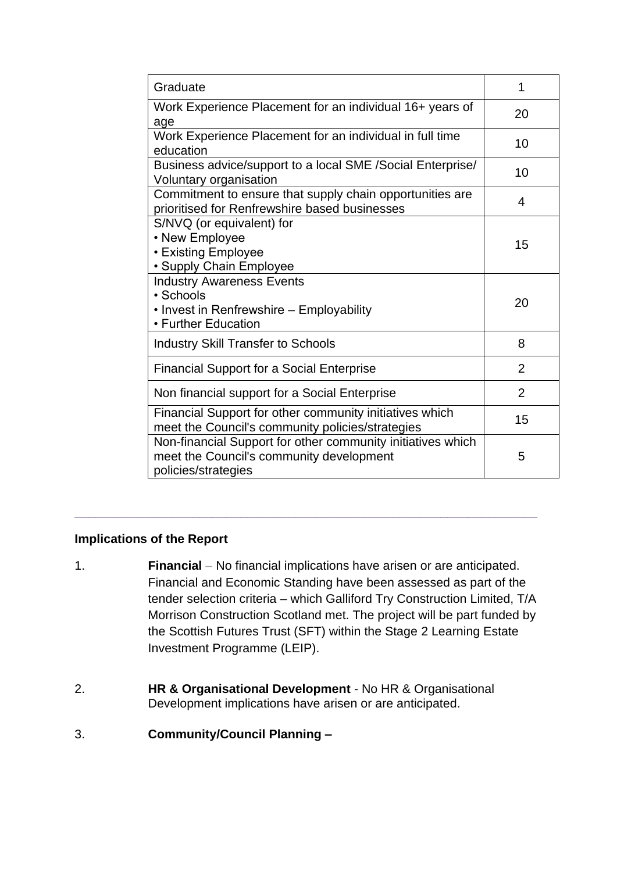| Graduate                                                                                                                       | 1              |
|--------------------------------------------------------------------------------------------------------------------------------|----------------|
| Work Experience Placement for an individual 16+ years of<br>age                                                                | 20             |
| Work Experience Placement for an individual in full time<br>education                                                          | 10             |
| Business advice/support to a local SME /Social Enterprise/<br>Voluntary organisation                                           | 10             |
| Commitment to ensure that supply chain opportunities are<br>prioritised for Renfrewshire based businesses                      | 4              |
| S/NVQ (or equivalent) for<br>• New Employee<br>• Existing Employee<br>• Supply Chain Employee                                  | 15             |
| <b>Industry Awareness Events</b><br>• Schools<br>• Invest in Renfrewshire – Employability<br>• Further Education               | 20             |
| <b>Industry Skill Transfer to Schools</b>                                                                                      | 8              |
| <b>Financial Support for a Social Enterprise</b>                                                                               | $\overline{2}$ |
| Non financial support for a Social Enterprise                                                                                  | 2              |
| Financial Support for other community initiatives which<br>meet the Council's community policies/strategies                    | 15             |
| Non-financial Support for other community initiatives which<br>meet the Council's community development<br>policies/strategies | 5              |

## **Implications of the Report**

1. **Financial** *–* No financial implications have arisen or are anticipated. Financial and Economic Standing have been assessed as part of the tender selection criteria – which Galliford Try Construction Limited, T/A Morrison Construction Scotland met. The project will be part funded by the Scottish Futures Trust (SFT) within the Stage 2 Learning Estate Investment Programme (LEIP).

**\_\_\_\_\_\_\_\_\_\_\_\_\_\_\_\_\_\_\_\_\_\_\_\_\_\_\_\_\_\_\_\_\_\_\_\_\_\_\_\_\_\_\_\_\_\_\_\_\_\_\_\_\_\_\_\_\_\_\_\_\_\_\_\_\_\_\_**

- 2. **HR & Organisational Development** No HR & Organisational Development implications have arisen or are anticipated.
- 3. **Community/Council Planning –**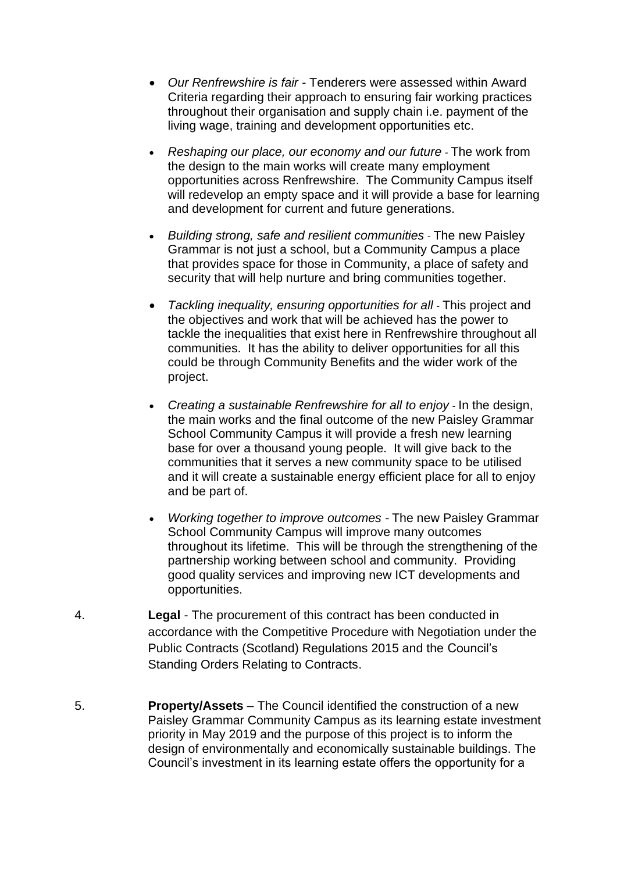- *Our Renfrewshire is fair -* Tenderers were assessed within Award Criteria regarding their approach to ensuring fair working practices throughout their organisation and supply chain i.e. payment of the living wage, training and development opportunities etc.
- *Reshaping our place, our economy and our future -* The work from the design to the main works will create many employment opportunities across Renfrewshire. The Community Campus itself will redevelop an empty space and it will provide a base for learning and development for current and future generations.
- *Building strong, safe and resilient communities -* The new Paisley Grammar is not just a school, but a Community Campus a place that provides space for those in Community, a place of safety and security that will help nurture and bring communities together.
- *Tackling inequality, ensuring opportunities for all -* This project and the objectives and work that will be achieved has the power to tackle the inequalities that exist here in Renfrewshire throughout all communities. It has the ability to deliver opportunities for all this could be through Community Benefits and the wider work of the project.
- *Creating a sustainable Renfrewshire for all to enjoy -* In the design, the main works and the final outcome of the new Paisley Grammar School Community Campus it will provide a fresh new learning base for over a thousand young people. It will give back to the communities that it serves a new community space to be utilised and it will create a sustainable energy efficient place for all to enjoy and be part of.
- *Working together to improve outcomes -* The new Paisley Grammar School Community Campus will improve many outcomes throughout its lifetime. This will be through the strengthening of the partnership working between school and community. Providing good quality services and improving new ICT developments and opportunities.
- 4. **Legal** The procurement of this contract has been conducted in accordance with the Competitive Procedure with Negotiation under the Public Contracts (Scotland) Regulations 2015 and the Council's Standing Orders Relating to Contracts.
- 5. **Property/Assets** The Council identified the construction of a new Paisley Grammar Community Campus as its learning estate investment priority in May 2019 and the purpose of this project is to inform the design of environmentally and economically sustainable buildings. The Council's investment in its learning estate offers the opportunity for a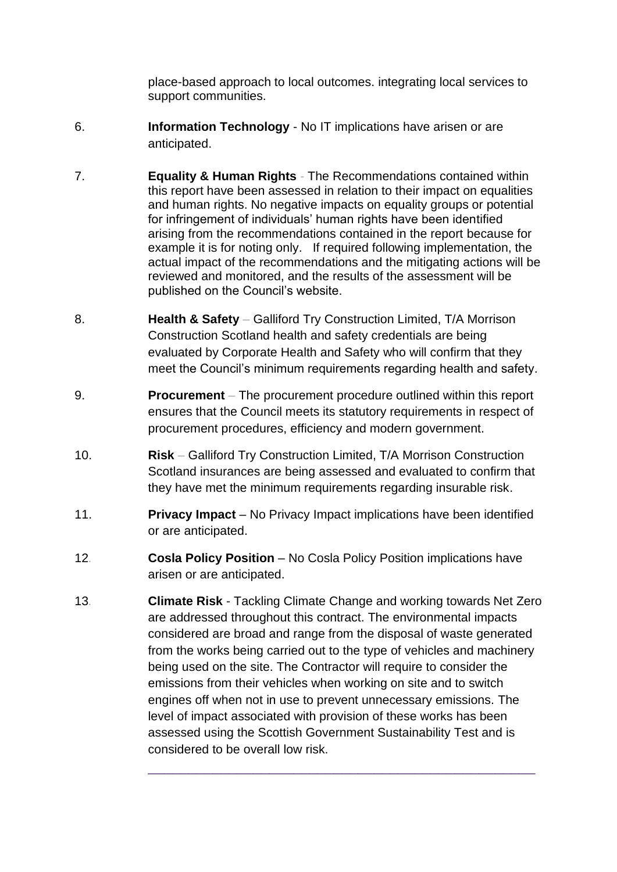place-based approach to local outcomes. integrating local services to support communities.

- 6. **Information Technology** No IT implications have arisen or are anticipated.
- 7. **Equality & Human Rights** *-* The Recommendations contained within this report have been assessed in relation to their impact on equalities and human rights. No negative impacts on equality groups or potential for infringement of individuals' human rights have been identified arising from the recommendations contained in the report because for example it is for noting only. If required following implementation, the actual impact of the recommendations and the mitigating actions will be reviewed and monitored, and the results of the assessment will be published on the Council's website.
- 8. **Health & Safety** *–* Galliford Try Construction Limited, T/A Morrison Construction Scotland health and safety credentials are being evaluated by Corporate Health and Safety who will confirm that they meet the Council's minimum requirements regarding health and safety.
- 9. **Procurement** The procurement procedure outlined within this report ensures that the Council meets its statutory requirements in respect of procurement procedures, efficiency and modern government.
- 10. **Risk** Galliford Try Construction Limited, T/A Morrison Construction Scotland insurances are being assessed and evaluated to confirm that they have met the minimum requirements regarding insurable risk.
- 11. **Privacy Impact** No Privacy Impact implications have been identified or are anticipated.
- 12*.* **Cosla Policy Position** No Cosla Policy Position implications have arisen or are anticipated.
- 13*.* **Climate Risk** Tackling Climate Change and working towards Net Zero are addressed throughout this contract. The environmental impacts considered are broad and range from the disposal of waste generated from the works being carried out to the type of vehicles and machinery being used on the site. The Contractor will require to consider the emissions from their vehicles when working on site and to switch engines off when not in use to prevent unnecessary emissions. The level of impact associated with provision of these works has been assessed using the Scottish Government Sustainability Test and is considered to be overall low risk.

\_\_\_\_\_\_\_\_\_\_\_\_\_\_\_\_\_\_\_\_\_\_\_\_\_\_\_\_\_\_\_\_\_\_\_\_\_\_\_\_\_\_\_\_\_\_\_\_